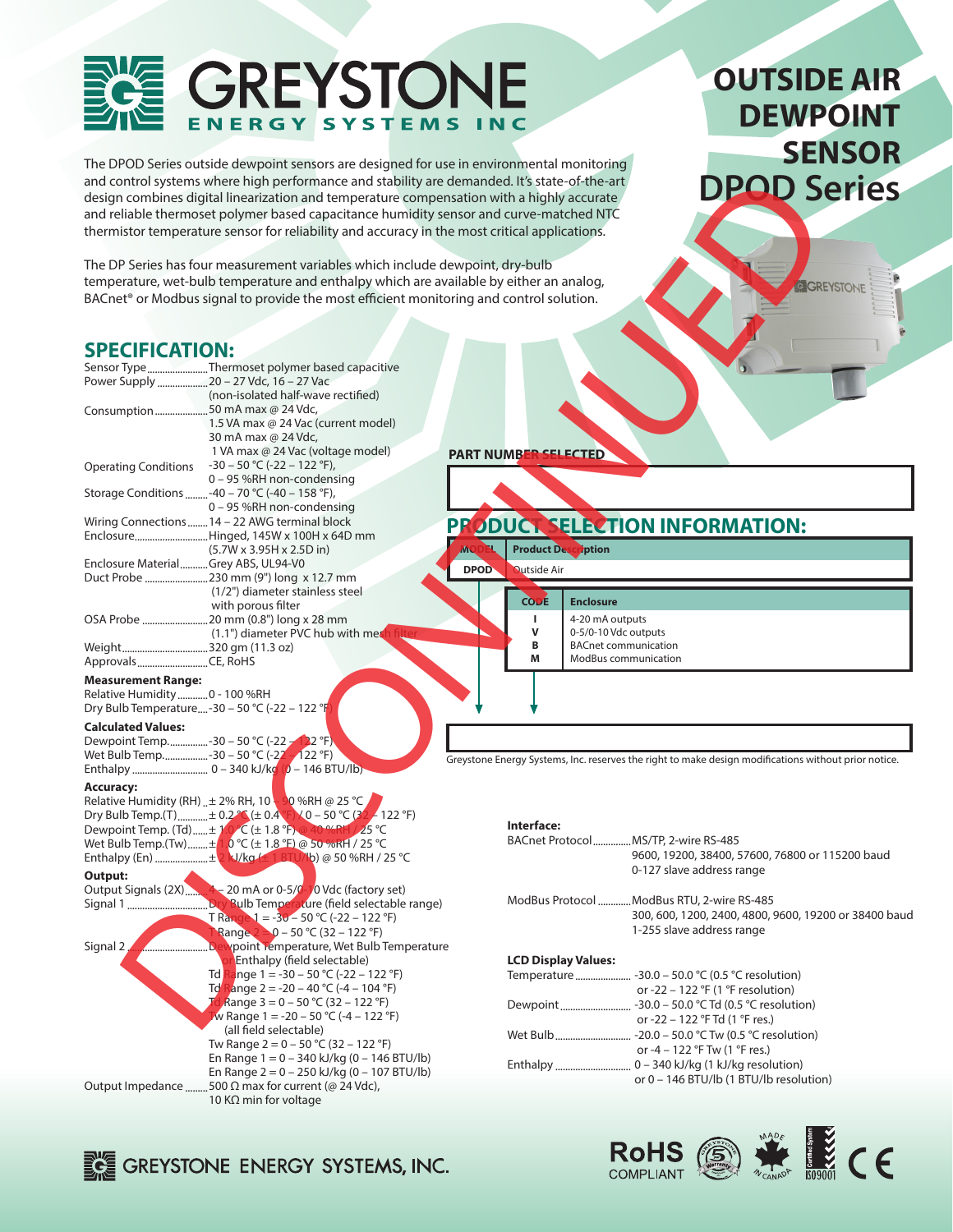#### **EYSTO** E N **SYSTEMS ERGY**

10 KΩ min for voltage

GREYSTONE ENERGY SYSTEMS, INC.

The DPOD Series outside dewpoint sensors are designed for use in environmental monitoring and control systems where high performance and stability are demanded. It's state-of-the-art design combines digital linearization and temperature compensation with a highly accurate and reliable thermoset polymer based capacitance humidity sensor and curve-matched NTC thermistor temperature sensor for reliability and accuracy in the most critical applications.

# **OUTSIDE AIR DEWPOINT SENSOR DPOD Series**

### **SPECIFICATION:**

| and control systems where high performance and stability are demanded. It's state-of-the-art<br>design combines digital linearization and temperature compensation with a highly accurate<br>and reliable thermoset polymer based capacitance humidity sensor and curve-matched NTC<br>thermistor temperature sensor for reliability and accuracy in the most critical applications. |                                                                                                                               | <b>DPOD Series</b>                                                                                              |
|--------------------------------------------------------------------------------------------------------------------------------------------------------------------------------------------------------------------------------------------------------------------------------------------------------------------------------------------------------------------------------------|-------------------------------------------------------------------------------------------------------------------------------|-----------------------------------------------------------------------------------------------------------------|
| The DP Series has four measurement variables which include dewpoint, dry-bulb<br>temperature, wet-bulb temperature and enthalpy which are available by either an analog,<br>BACnet <sup>®</sup> or Modbus signal to provide the most efficient monitoring and control solution.                                                                                                      |                                                                                                                               | GIGREYSTONE                                                                                                     |
| <b>SPECIFICATION:</b><br>Sensor TypeThermoset polymer based capacitive<br>Power Supply  20 - 27 Vdc, 16 - 27 Vac                                                                                                                                                                                                                                                                     |                                                                                                                               |                                                                                                                 |
| (non-isolated half-wave rectified)<br>Consumption50 mA max @ 24 Vdc,<br>1.5 VA max @ 24 Vac (current model)<br>30 mA max @ 24 Vdc,<br>1 VA max @ 24 Vac (voltage model)                                                                                                                                                                                                              | <b>PART NUMBER SELECTED</b>                                                                                                   |                                                                                                                 |
| Operating Conditions -30 - 50 °C (-22 - 122 °F),<br>0 - 95 %RH non-condensing                                                                                                                                                                                                                                                                                                        |                                                                                                                               |                                                                                                                 |
| Storage Conditions -40 - 70 °C (-40 - 158 °F),<br>0 - 95 %RH non-condensing<br>Wiring Connections  14 - 22 AWG terminal block                                                                                                                                                                                                                                                        |                                                                                                                               |                                                                                                                 |
| EnclosureHinged, 145W x 100H x 64D mm                                                                                                                                                                                                                                                                                                                                                | PRODUCT SELECTION INFORMATION:                                                                                                |                                                                                                                 |
| (5.7W x 3.95H x 2.5D in)<br>Enclosure MaterialGrey ABS, UL94-V0<br>Duct Probe 230 mm (9") long x 12.7 mm<br>(1/2") diameter stainless steel                                                                                                                                                                                                                                          | <b>Product Description</b><br>ŴС<br><b>Qutside Air</b><br><b>DPOD</b>                                                         |                                                                                                                 |
| with porous filter<br>OSA Probe 20 mm (0.8") long x 28 mm<br>(1.1") diameter PVC hub with mes                                                                                                                                                                                                                                                                                        | CODE<br><b>Enclosure</b><br>T.<br>4-20 mA outputs<br>$\mathsf{v}$<br>0-5/0-10 Vdc outputs<br>B<br><b>BACnet communication</b> |                                                                                                                 |
| ApprovalsCE, RoHS                                                                                                                                                                                                                                                                                                                                                                    | M<br>ModBus communication                                                                                                     |                                                                                                                 |
| <b>Measurement Range:</b><br>Relative Humidity  0 - 100 %RH<br>Dry Bulb Temperature-30 - 50 °C (-22 - 122 °F)                                                                                                                                                                                                                                                                        |                                                                                                                               |                                                                                                                 |
| <b>Calculated Values:</b><br>Dewpoint Temp.  - 30 - 50 °C (-22 - 122 °F)                                                                                                                                                                                                                                                                                                             |                                                                                                                               |                                                                                                                 |
|                                                                                                                                                                                                                                                                                                                                                                                      |                                                                                                                               | Greystone Energy Systems, Inc. reserves the right to make design modifications without prior notice.            |
| <b>Accuracy:</b><br>Relative Humidity (RH) $\pm$ 2% RH, 10 $\frac{1}{2}$ %RH @ 25 °C<br>Dry Bulb Temp.(T)± 0.2 °C (± 0.4 °F) \ 0 - 50 °C (32 - 122 °F)<br>Dewpoint Temp. (Td)  ± 1.0 °C (± 1.8 °F) @ 40 %RH / 25 °C<br>Wet Bulb Temp.(Tw)  ± 1.0 °C (± 1.8 °F) @ 50 %RH / 25 °C<br>Enthalpy (En) ± 2 kJ/kg (± 1 BTU/lb) @ 50 %RH / 25 °C                                             | Interface:<br>BACnet Protocol  MS/TP, 2-wire RS-485                                                                           | 9600, 19200, 38400, 57600, 76800 or 115200 baud                                                                 |
| Output:<br>T Range $1 = -30 - 50$ °C (-22 - 122 °F)<br>Range $2 = 0 - 50$ °C (32 - 122 °F)                                                                                                                                                                                                                                                                                           | ModBus Protocol ModBus RTU, 2-wire RS-485                                                                                     | 0-127 slave address range<br>300, 600, 1200, 2400, 4800, 9600, 19200 or 38400 baud<br>1-255 slave address range |
| Signal 2.<br><b>Dewpoint Temperature, Wet Bulb Temperature</b><br>Enthalpy (field selectable)<br>Range 1 = -30 - 50 °C (-22 - 122 °F)<br>Td I                                                                                                                                                                                                                                        | <b>LCD Display Values:</b>                                                                                                    |                                                                                                                 |
| Td Range 2 = -20 - 40 °C (-4 - 104 °F)<br>Td Range $3 = 0 - 50$ °C (32 – 122 °F)                                                                                                                                                                                                                                                                                                     |                                                                                                                               | or -22 – 122 °F (1 °F resolution)                                                                               |
| W Range $1 = -20 - 50$ °C (-4 - 122 °F)<br>(all field selectable)<br>Tw Range $2 = 0 - 50$ °C (32 – 122 °F)                                                                                                                                                                                                                                                                          |                                                                                                                               | or -22 - 122 °F Td (1 °F res.)                                                                                  |
| En Range $1 = 0 - 340$ kJ/kg (0 - 146 BTU/lb)<br>En Range $2 = 0 - 250$ kJ/kg (0 - 107 BTU/lb)                                                                                                                                                                                                                                                                                       |                                                                                                                               | or -4 - 122 °F Tw (1 °F res.)                                                                                   |
| Output Impedance 500 Ω max for current (@ 24 Vdc),                                                                                                                                                                                                                                                                                                                                   |                                                                                                                               | or 0 - 146 BTU/lb (1 BTU/lb resolution)                                                                         |

**CERTIFY RoHS** COMPLIANT